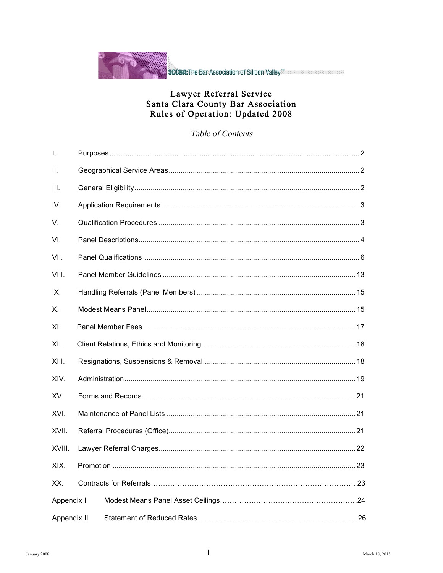

# Lawyer Referral Service<br>Santa Clara County Bar Association<br>Rules of Operation: Updated 2008

#### Table of Contents

| I.          |  |  |  |
|-------------|--|--|--|
| Ⅱ.          |  |  |  |
| III.        |  |  |  |
| IV.         |  |  |  |
| V.          |  |  |  |
| VI.         |  |  |  |
| VII.        |  |  |  |
| VIII.       |  |  |  |
| IX.         |  |  |  |
| Х.          |  |  |  |
| XI.         |  |  |  |
| XII.        |  |  |  |
| XIII.       |  |  |  |
| XIV.        |  |  |  |
| XV.         |  |  |  |
| XVI.        |  |  |  |
| XVII.       |  |  |  |
| XVIII.      |  |  |  |
| XIX.        |  |  |  |
| XX.         |  |  |  |
| Appendix I  |  |  |  |
| Appendix II |  |  |  |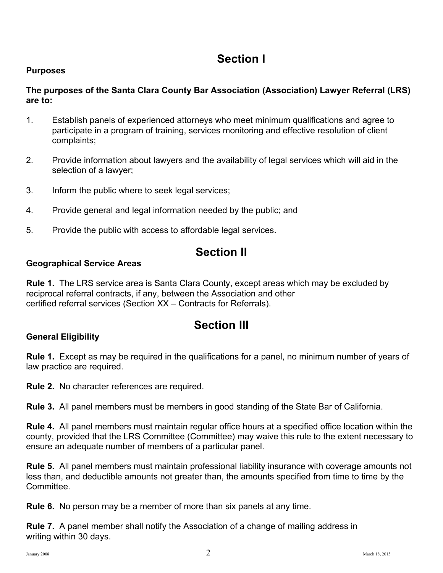## **Section I**

#### **Purposes**

#### **The purposes of the Santa Clara County Bar Association (Association) Lawyer Referral (LRS) are to:**

- 1. Establish panels of experienced attorneys who meet minimum qualifications and agree to participate in a program of training, services monitoring and effective resolution of client complaints;
- 2. Provide information about lawyers and the availability of legal services which will aid in the selection of a lawyer;
- 3. Inform the public where to seek legal services;
- 4. Provide general and legal information needed by the public; and
- 5. Provide the public with access to affordable legal services.

## **Section II**

#### **Geographical Service Areas**

**Rule 1.** The LRS service area is Santa Clara County, except areas which may be excluded by reciprocal referral contracts, if any, between the Association and other certified referral services (Section XX – Contracts for Referrals).

## **Section III**

#### **General Eligibility**

**Rule 1.** Except as may be required in the qualifications for a panel, no minimum number of years of law practice are required.

**Rule 2.** No character references are required.

**Rule 3.** All panel members must be members in good standing of the State Bar of California.

**Rule 4.** All panel members must maintain regular office hours at a specified office location within the county, provided that the LRS Committee (Committee) may waive this rule to the extent necessary to ensure an adequate number of members of a particular panel.

**Rule 5.** All panel members must maintain professional liability insurance with coverage amounts not less than, and deductible amounts not greater than, the amounts specified from time to time by the Committee.

**Rule 6.** No person may be a member of more than six panels at any time.

**Rule 7.** A panel member shall notify the Association of a change of mailing address in writing within 30 days.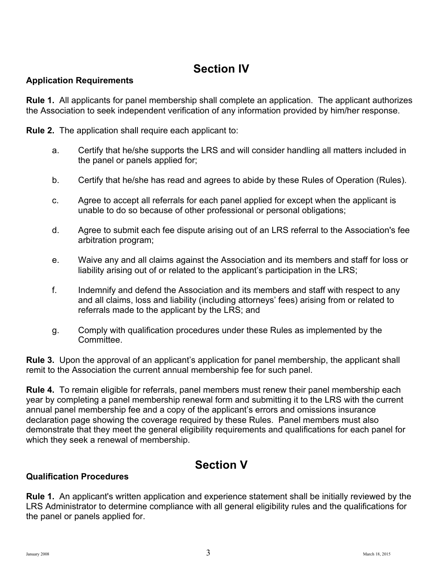## **Section IV**

#### **Application Requirements**

**Rule 1.** All applicants for panel membership shall complete an application. The applicant authorizes the Association to seek independent verification of any information provided by him/her response.

**Rule 2.** The application shall require each applicant to:

- a. Certify that he/she supports the LRS and will consider handling all matters included in the panel or panels applied for;
- b. Certify that he/she has read and agrees to abide by these Rules of Operation (Rules).
- c. Agree to accept all referrals for each panel applied for except when the applicant is unable to do so because of other professional or personal obligations;
- d. Agree to submit each fee dispute arising out of an LRS referral to the Association's fee arbitration program;
- e. Waive any and all claims against the Association and its members and staff for loss or liability arising out of or related to the applicant's participation in the LRS;
- f. Indemnify and defend the Association and its members and staff with respect to any and all claims, loss and liability (including attorneys' fees) arising from or related to referrals made to the applicant by the LRS; and
- g. Comply with qualification procedures under these Rules as implemented by the Committee.

**Rule 3.** Upon the approval of an applicant's application for panel membership, the applicant shall remit to the Association the current annual membership fee for such panel.

**Rule 4.** To remain eligible for referrals, panel members must renew their panel membership each year by completing a panel membership renewal form and submitting it to the LRS with the current annual panel membership fee and a copy of the applicant's errors and omissions insurance declaration page showing the coverage required by these Rules. Panel members must also demonstrate that they meet the general eligibility requirements and qualifications for each panel for which they seek a renewal of membership.

## **Section V Qualification Procedures**

**Rule 1.** An applicant's written application and experience statement shall be initially reviewed by the LRS Administrator to determine compliance with all general eligibility rules and the qualifications for the panel or panels applied for.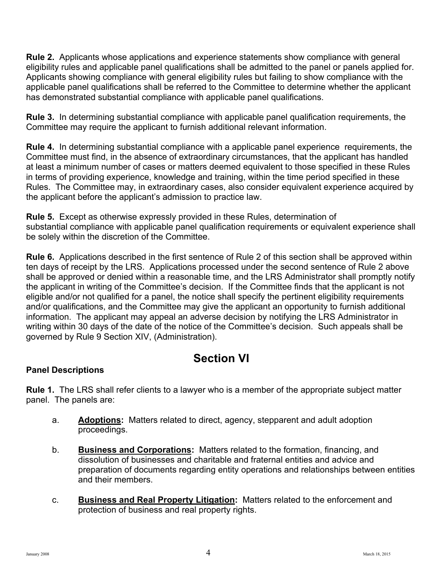**Rule 2.** Applicants whose applications and experience statements show compliance with general eligibility rules and applicable panel qualifications shall be admitted to the panel or panels applied for. Applicants showing compliance with general eligibility rules but failing to show compliance with the applicable panel qualifications shall be referred to the Committee to determine whether the applicant has demonstrated substantial compliance with applicable panel qualifications.

**Rule 3.** In determining substantial compliance with applicable panel qualification requirements, the Committee may require the applicant to furnish additional relevant information.

**Rule 4.** In determining substantial compliance with a applicable panel experience requirements, the Committee must find, in the absence of extraordinary circumstances, that the applicant has handled at least a minimum number of cases or matters deemed equivalent to those specified in these Rules in terms of providing experience, knowledge and training, within the time period specified in these Rules. The Committee may, in extraordinary cases, also consider equivalent experience acquired by the applicant before the applicant's admission to practice law.

**Rule 5.** Except as otherwise expressly provided in these Rules, determination of substantial compliance with applicable panel qualification requirements or equivalent experience shall be solely within the discretion of the Committee.

**Rule 6.** Applications described in the first sentence of Rule 2 of this section shall be approved within ten days of receipt by the LRS. Applications processed under the second sentence of Rule 2 above shall be approved or denied within a reasonable time, and the LRS Administrator shall promptly notify the applicant in writing of the Committee's decision. If the Committee finds that the applicant is not eligible and/or not qualified for a panel, the notice shall specify the pertinent eligibility requirements and/or qualifications, and the Committee may give the applicant an opportunity to furnish additional information. The applicant may appeal an adverse decision by notifying the LRS Administrator in writing within 30 days of the date of the notice of the Committee's decision. Such appeals shall be governed by Rule 9 Section XIV, (Administration).

## **Section VI**

#### **Panel Descriptions**

**Rule 1.** The LRS shall refer clients to a lawyer who is a member of the appropriate subject matter panel. The panels are:

- a. **Adoptions:** Matters related to direct, agency, stepparent and adult adoption proceedings.
- b. **Business and Corporations:** Matters related to the formation, financing, and dissolution of businesses and charitable and fraternal entities and advice and preparation of documents regarding entity operations and relationships between entities and their members.
- c. **Business and Real Property Litigation:** Matters related to the enforcement and protection of business and real property rights.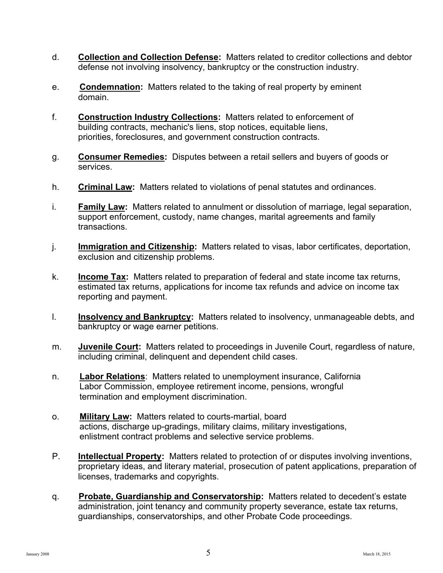- d. **Collection and Collection Defense:** Matters related to creditor collections and debtor defense not involving insolvency, bankruptcy or the construction industry.
- e. **Condemnation:** Matters related to the taking of real property by eminent domain.
- f. **Construction Industry Collections:** Matters related to enforcement of building contracts, mechanic's liens, stop notices, equitable liens, priorities, foreclosures, and government construction contracts.
- g. **Consumer Remedies:** Disputes between a retail sellers and buyers of goods or services.
- h. **Criminal Law:** Matters related to violations of penal statutes and ordinances.
- i. **Family Law:** Matters related to annulment or dissolution of marriage, legal separation, support enforcement, custody, name changes, marital agreements and family transactions.
- j. **Immigration and Citizenship:** Matters related to visas, labor certificates, deportation, exclusion and citizenship problems.
- k. **Income Tax:** Matters related to preparation of federal and state income tax returns, estimated tax returns, applications for income tax refunds and advice on income tax reporting and payment.
- l. **Insolvency and Bankruptcy:** Matters related to insolvency, unmanageable debts, and bankruptcy or wage earner petitions.
- m. **Juvenile Court:** Matters related to proceedings in Juvenile Court, regardless of nature, including criminal, delinquent and dependent child cases.
- n. **Labor Relations**: Matters related to unemployment insurance, California Labor Commission, employee retirement income, pensions, wrongful termination and employment discrimination.
- o. **Military Law:** Matters related to courts-martial, board actions, discharge up-gradings, military claims, military investigations, enlistment contract problems and selective service problems.
- P. **Intellectual Property:** Matters related to protection of or disputes involving inventions, proprietary ideas, and literary material, prosecution of patent applications, preparation of licenses, trademarks and copyrights.
- q. **Probate, Guardianship and Conservatorship:** Matters related to decedent's estate administration, joint tenancy and community property severance, estate tax returns, guardianships, conservatorships, and other Probate Code proceedings.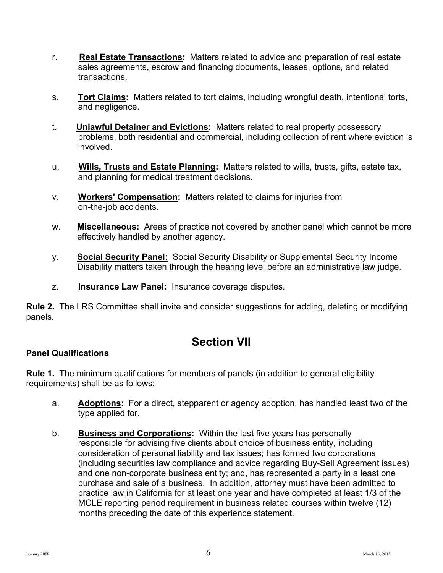- r. **Real Estate Transactions:** Matters related to advice and preparation of real estate sales agreements, escrow and financing documents, leases, options, and related transactions.
- s. **Tort Claims:** Matters related to tort claims, including wrongful death, intentional torts, and negligence.
- t. **Unlawful Detainer and Evictions:** Matters related to real property possessory problems, both residential and commercial, including collection of rent where eviction is involved.
- u. **Wills, Trusts and Estate Planning:** Matters related to wills, trusts, gifts, estate tax, and planning for medical treatment decisions.
- v. **Workers' Compensation:** Matters related to claims for injuries from on-the-job accidents.
- w. **Miscellaneous:** Areas of practice not covered by another panel which cannot be more effectively handled by another agency.
- y. **Social Security Panel:** Social Security Disability or Supplemental Security Income Disability matters taken through the hearing level before an administrative law judge.
- z. **Insurance Law Panel:** Insurance coverage disputes.

**Rule 2.** The LRS Committee shall invite and consider suggestions for adding, deleting or modifying panels.

## **Section VII**

#### **Panel Qualifications**

**Rule 1.** The minimum qualifications for members of panels (in addition to general eligibility requirements) shall be as follows:

- a. **Adoptions:** For a direct, stepparent or agency adoption, has handled least two of the type applied for.
- b. **Business and Corporations:** Within the last five years has personally responsible for advising five clients about choice of business entity, including consideration of personal liability and tax issues; has formed two corporations (including securities law compliance and advice regarding Buy-Sell Agreement issues) and one non-corporate business entity; and, has represented a party in a least one purchase and sale of a business. In addition, attorney must have been admitted to practice law in California for at least one year and have completed at least 1/3 of the MCLE reporting period requirement in business related courses within twelve (12) months preceding the date of this experience statement.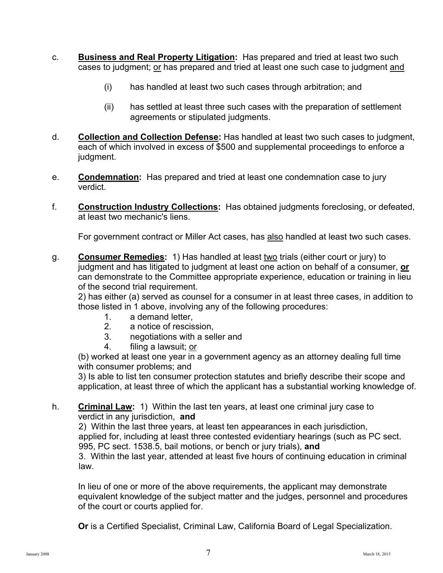- c. **Business and Real Property Litigation:** Has prepared and tried at least two such cases to judgment; or has prepared and tried at least one such case to judgment and
	- (i) has handled at least two such cases through arbitration; and
	- (ii) has settled at least three such cases with the preparation of settlement agreements or stipulated judgments.
- d. **Collection and Collection Defense:** Has handled at least two such cases to judgment, each of which involved in excess of \$500 and supplemental proceedings to enforce a judgment.
- e. **Condemnation:** Has prepared and tried at least one condemnation case to jury verdict.
- f. **Construction Industry Collections:** Has obtained judgments foreclosing, or defeated, at least two mechanic's liens.

For government contract or Miller Act cases, has also handled at least two such cases.

g. **Consumer Remedies:** 1) Has handled at least two trials (either court or jury) to judgment and has litigated to judgment at least one action on behalf of a consumer, **or** can demonstrate to the Committee appropriate experience, education or training in lieu of the second trial requirement.

2) has either (a) served as counsel for a consumer in at least three cases, in addition to those listed in 1 above, involving any of the following procedures:

- 1. a demand letter,
- 2. a notice of rescission,
- 3. negotiations with a seller and
- 4. filing a lawsuit; or

(b) worked at least one year in a government agency as an attorney dealing full time with consumer problems; and

3) Is able to list ten consumer protection statutes and briefly describe their scope and application, at least three of which the applicant has a substantial working knowledge of.

h. **Criminal Law:** 1) Within the last ten years, at least one criminal jury case to verdict in any jurisdiction, **and** 

2) Within the last three years, at least ten appearances in each jurisdiction, applied for, including at least three contested evidentiary hearings (such as PC sect. 995, PC sect. 1538.5, bail motions, or bench or jury trials), **and**

3. Within the last year, attended at least five hours of continuing education in criminal law.

In lieu of one or more of the above requirements, the applicant may demonstrate equivalent knowledge of the subject matter and the judges, personnel and procedures of the court or courts applied for.

**Or** is a Certified Specialist, Criminal Law, California Board of Legal Specialization.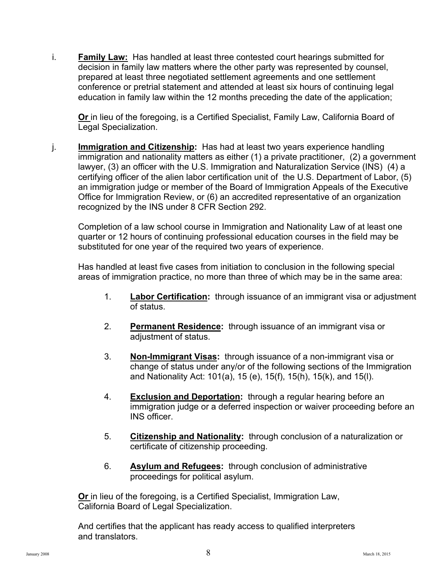i. **Family Law:** Has handled at least three contested court hearings submitted for decision in family law matters where the other party was represented by counsel, prepared at least three negotiated settlement agreements and one settlement conference or pretrial statement and attended at least six hours of continuing legal education in family law within the 12 months preceding the date of the application;

**Or** in lieu of the foregoing, is a Certified Specialist, Family Law, California Board of Legal Specialization.

j. **Immigration and Citizenship:** Has had at least two years experience handling immigration and nationality matters as either (1) a private practitioner, (2) a government lawyer, (3) an officer with the U.S. Immigration and Naturalization Service (INS) (4) a certifying officer of the alien labor certification unit of the U.S. Department of Labor, (5) an immigration judge or member of the Board of Immigration Appeals of the Executive Office for Immigration Review, or (6) an accredited representative of an organization recognized by the INS under 8 CFR Section 292.

Completion of a law school course in Immigration and Nationality Law of at least one quarter or 12 hours of continuing professional education courses in the field may be substituted for one year of the required two years of experience.

Has handled at least five cases from initiation to conclusion in the following special areas of immigration practice, no more than three of which may be in the same area:

- 1. **Labor Certification:** through issuance of an immigrant visa or adjustment of status.
- 2. **Permanent Residence:** through issuance of an immigrant visa or adjustment of status.
- 3. **Non-Immigrant Visas:** through issuance of a non-immigrant visa or change of status under any/or of the following sections of the Immigration and Nationality Act: 101(a), 15 (e), 15(f), 15(h), 15(k), and 15(l).
- 4. **Exclusion and Deportation:** through a regular hearing before an immigration judge or a deferred inspection or waiver proceeding before an INS officer.
- 5. **Citizenship and Nationality:** through conclusion of a naturalization or certificate of citizenship proceeding.
- 6. **Asylum and Refugees:** through conclusion of administrative proceedings for political asylum.

**Or** in lieu of the foregoing, is a Certified Specialist, Immigration Law, California Board of Legal Specialization.

And certifies that the applicant has ready access to qualified interpreters and translators.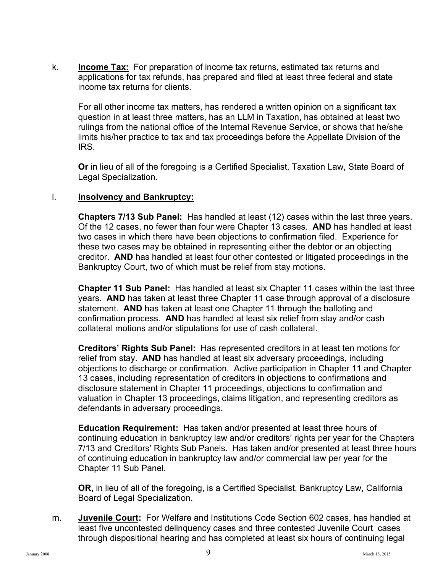k. **Income Tax:** For preparation of income tax returns, estimated tax returns and applications for tax refunds, has prepared and filed at least three federal and state income tax returns for clients.

For all other income tax matters, has rendered a written opinion on a significant tax question in at least three matters, has an LLM in Taxation, has obtained at least two rulings from the national office of the Internal Revenue Service, or shows that he/she limits his/her practice to tax and tax proceedings before the Appellate Division of the **IRS** 

**Or** in lieu of all of the foregoing is a Certified Specialist, Taxation Law, State Board of Legal Specialization.

#### l. **Insolvency and Bankruptcy:**

**Chapters 7/13 Sub Panel:** Has handled at least (12) cases within the last three years. Of the 12 cases, no fewer than four were Chapter 13 cases. **AND** has handled at least two cases in which there have been objections to confirmation filed. Experience for these two cases may be obtained in representing either the debtor or an objecting creditor. **AND** has handled at least four other contested or litigated proceedings in the Bankruptcy Court, two of which must be relief from stay motions.

**Chapter 11 Sub Panel:** Has handled at least six Chapter 11 cases within the last three years. **AND** has taken at least three Chapter 11 case through approval of a disclosure statement. **AND** has taken at least one Chapter 11 through the balloting and confirmation process. **AND** has handled at least six relief from stay and/or cash collateral motions and/or stipulations for use of cash collateral.

**Creditors' Rights Sub Panel:** Has represented creditors in at least ten motions for relief from stay. **AND** has handled at least six adversary proceedings, including objections to discharge or confirmation. Active participation in Chapter 11 and Chapter 13 cases, including representation of creditors in objections to confirmations and disclosure statement in Chapter 11 proceedings, objections to confirmation and valuation in Chapter 13 proceedings, claims litigation, and representing creditors as defendants in adversary proceedings.

**Education Requirement:** Has taken and/or presented at least three hours of continuing education in bankruptcy law and/or creditors' rights per year for the Chapters 7/13 and Creditors' Rights Sub Panels. Has taken and/or presented at least three hours of continuing education in bankruptcy law and/or commercial law per year for the Chapter 11 Sub Panel.

**OR,** in lieu of all of the foregoing, is a Certified Specialist, Bankruptcy Law, California Board of Legal Specialization.

m. **Juvenile Court:** For Welfare and Institutions Code Section 602 cases, has handled at least five uncontested delinquency cases and three contested Juvenile Court cases through dispositional hearing and has completed at least six hours of continuing legal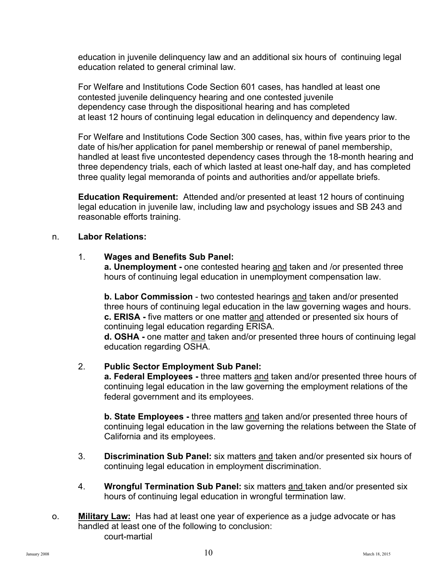education in juvenile delinquency law and an additional six hours of continuing legal education related to general criminal law.

For Welfare and Institutions Code Section 601 cases, has handled at least one contested juvenile delinquency hearing and one contested juvenile dependency case through the dispositional hearing and has completed at least 12 hours of continuing legal education in delinquency and dependency law.

For Welfare and Institutions Code Section 300 cases, has, within five years prior to the date of his/her application for panel membership or renewal of panel membership, handled at least five uncontested dependency cases through the 18-month hearing and three dependency trials, each of which lasted at least one-half day, and has completed three quality legal memoranda of points and authorities and/or appellate briefs.

**Education Requirement:** Attended and/or presented at least 12 hours of continuing legal education in juvenile law, including law and psychology issues and SB 243 and reasonable efforts training.

#### n. **Labor Relations:**

#### 1. **Wages and Benefits Sub Panel:**

**a. Unemployment -** one contested hearing and taken and /or presented three hours of continuing legal education in unemployment compensation law.

**b. Labor Commission** - two contested hearings and taken and/or presented three hours of continuing legal education in the law governing wages and hours. **c. ERISA -** five matters or one matter and attended or presented six hours of continuing legal education regarding ERISA.

**d. OSHA** - one matter and taken and/or presented three hours of continuing legal education regarding OSHA.

#### 2. **Public Sector Employment Sub Panel:**

**a. Federal Employees -** three matters and taken and/or presented three hours of continuing legal education in the law governing the employment relations of the federal government and its employees.

**b. State Employees -** three matters and taken and/or presented three hours of continuing legal education in the law governing the relations between the State of California and its employees.

- 3. **Discrimination Sub Panel:** six matters and taken and/or presented six hours of continuing legal education in employment discrimination.
- 4. **Wrongful Termination Sub Panel:** six matters and taken and/or presented six hours of continuing legal education in wrongful termination law.
- o. **Military Law:** Has had at least one year of experience as a judge advocate or has handled at least one of the following to conclusion: court-martial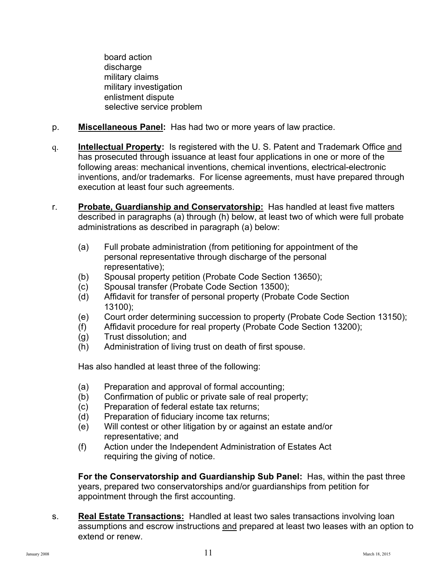board action discharge military claims military investigation enlistment dispute selective service problem

- p. **Miscellaneous Panel:** Has had two or more years of law practice.
- q. **Intellectual Property:** Is registered with the U. S. Patent and Trademark Office and has prosecuted through issuance at least four applications in one or more of the following areas: mechanical inventions, chemical inventions, electrical-electronic inventions, and/or trademarks. For license agreements, must have prepared through execution at least four such agreements.
- r. **Probate, Guardianship and Conservatorship:** Has handled at least five matters described in paragraphs (a) through (h) below, at least two of which were full probate administrations as described in paragraph (a) below:
	- (a) Full probate administration (from petitioning for appointment of the personal representative through discharge of the personal representative);
	- (b) Spousal property petition (Probate Code Section 13650);
	- (c) Spousal transfer (Probate Code Section 13500);
	- (d) Affidavit for transfer of personal property (Probate Code Section 13100);
	- (e) Court order determining succession to property (Probate Code Section 13150);
	- (f) Affidavit procedure for real property (Probate Code Section 13200);
	- (g) Trust dissolution; and
	- (h) Administration of living trust on death of first spouse.

Has also handled at least three of the following:

- (a) Preparation and approval of formal accounting;
- (b) Confirmation of public or private sale of real property;
- (c) Preparation of federal estate tax returns;
- (d) Preparation of fiduciary income tax returns;
- (e) Will contest or other litigation by or against an estate and/or representative; and
- (f) Action under the Independent Administration of Estates Act requiring the giving of notice.

**For the Conservatorship and Guardianship Sub Panel:** Has, within the past three years, prepared two conservatorships and/or guardianships from petition for appointment through the first accounting.

s. **Real Estate Transactions:** Handled at least two sales transactions involving loan assumptions and escrow instructions and prepared at least two leases with an option to extend or renew.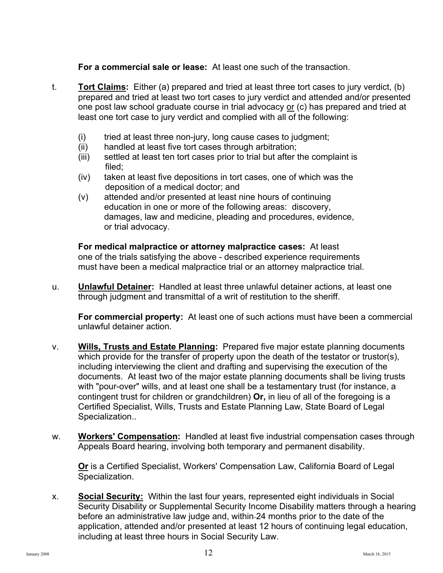**For a commercial sale or lease:** At least one such of the transaction.

- t. **Tort Claims:** Either (a) prepared and tried at least three tort cases to jury verdict, (b) prepared and tried at least two tort cases to jury verdict and attended and/or presented one post law school graduate course in trial advocacy or (c) has prepared and tried at least one tort case to jury verdict and complied with all of the following:
	- (i) tried at least three non-jury, long cause cases to judgment;
	- (ii) handled at least five tort cases through arbitration;
	- (iii) settled at least ten tort cases prior to trial but after the complaint is filed;
	- (iv) taken at least five depositions in tort cases, one of which was the deposition of a medical doctor; and
	- (v) attended and/or presented at least nine hours of continuing education in one or more of the following areas: discovery, damages, law and medicine, pleading and procedures, evidence, or trial advocacy.

**For medical malpractice or attorney malpractice cases:** At least one of the trials satisfying the above - described experience requirements must have been a medical malpractice trial or an attorney malpractice trial.

u. **Unlawful Detainer:** Handled at least three unlawful detainer actions, at least one through judgment and transmittal of a writ of restitution to the sheriff.

**For commercial property:** At least one of such actions must have been a commercial unlawful detainer action.

- v. **Wills, Trusts and Estate Planning:** Prepared five major estate planning documents which provide for the transfer of property upon the death of the testator or trustor(s), including interviewing the client and drafting and supervising the execution of the documents. At least two of the major estate planning documents shall be living trusts with "pour-over" wills, and at least one shall be a testamentary trust (for instance, a contingent trust for children or grandchildren) **Or,** in lieu of all of the foregoing is a Certified Specialist, Wills, Trusts and Estate Planning Law, State Board of Legal Specialization..
- w. **Workers' Compensation:** Handled at least five industrial compensation cases through Appeals Board hearing, involving both temporary and permanent disability.

**Or** is a Certified Specialist, Workers' Compensation Law, California Board of Legal Specialization.

x. **Social Security:** Within the last four years, represented eight individuals in Social Security Disability or Supplemental Security Income Disability matters through a hearing before an administrative law judge and, within 24 months prior to the date of the application, attended and/or presented at least 12 hours of continuing legal education, including at least three hours in Social Security Law.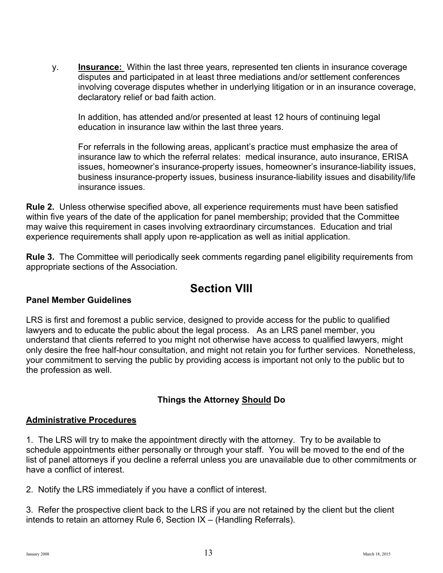y. **Insurance:** Within the last three years, represented ten clients in insurance coverage disputes and participated in at least three mediations and/or settlement conferences involving coverage disputes whether in underlying litigation or in an insurance coverage, declaratory relief or bad faith action.

In addition, has attended and/or presented at least 12 hours of continuing legal education in insurance law within the last three years.

 For referrals in the following areas, applicant's practice must emphasize the area of insurance law to which the referral relates: medical insurance, auto insurance, ERISA issues, homeowner's insurance-property issues, homeowner's insurance-liability issues, business insurance-property issues, business insurance-liability issues and disability/life insurance issues.

**Rule 2.** Unless otherwise specified above, all experience requirements must have been satisfied within five years of the date of the application for panel membership; provided that the Committee may waive this requirement in cases involving extraordinary circumstances. Education and trial experience requirements shall apply upon re-application as well as initial application.

**Rule 3.** The Committee will periodically seek comments regarding panel eligibility requirements from appropriate sections of the Association.

## **Section VIII**

#### **Panel Member Guidelines**

LRS is first and foremost a public service, designed to provide access for the public to qualified lawyers and to educate the public about the legal process. As an LRS panel member, you understand that clients referred to you might not otherwise have access to qualified lawyers, might only desire the free half-hour consultation, and might not retain you for further services. Nonetheless, your commitment to serving the public by providing access is important not only to the public but to the profession as well.

#### **Things the Attorney Should Do**

#### **Administrative Procedures**

1. The LRS will try to make the appointment directly with the attorney. Try to be available to schedule appointments either personally or through your staff. You will be moved to the end of the list of panel attorneys if you decline a referral unless you are unavailable due to other commitments or have a conflict of interest.

2. Notify the LRS immediately if you have a conflict of interest.

3. Refer the prospective client back to the LRS if you are not retained by the client but the client intends to retain an attorney Rule 6, Section IX – (Handling Referrals).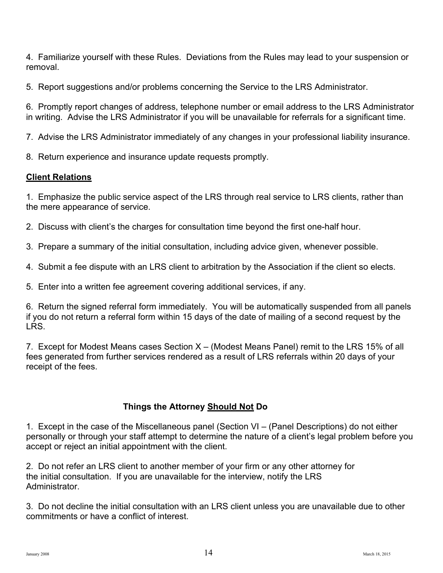4. Familiarize yourself with these Rules. Deviations from the Rules may lead to your suspension or removal.

5. Report suggestions and/or problems concerning the Service to the LRS Administrator.

6. Promptly report changes of address, telephone number or email address to the LRS Administrator in writing. Advise the LRS Administrator if you will be unavailable for referrals for a significant time.

7. Advise the LRS Administrator immediately of any changes in your professional liability insurance.

8. Return experience and insurance update requests promptly.

#### **Client Relations**

1. Emphasize the public service aspect of the LRS through real service to LRS clients, rather than the mere appearance of service.

2. Discuss with client's the charges for consultation time beyond the first one-half hour.

3. Prepare a summary of the initial consultation, including advice given, whenever possible.

4. Submit a fee dispute with an LRS client to arbitration by the Association if the client so elects.

5. Enter into a written fee agreement covering additional services, if any.

6. Return the signed referral form immediately. You will be automatically suspended from all panels if you do not return a referral form within 15 days of the date of mailing of a second request by the LRS.

7. Except for Modest Means cases Section X – (Modest Means Panel) remit to the LRS 15% of all fees generated from further services rendered as a result of LRS referrals within 20 days of your receipt of the fees.

#### **Things the Attorney Should Not Do**

1. Except in the case of the Miscellaneous panel (Section VI – (Panel Descriptions) do not either personally or through your staff attempt to determine the nature of a client's legal problem before you accept or reject an initial appointment with the client.

2. Do not refer an LRS client to another member of your firm or any other attorney for the initial consultation. If you are unavailable for the interview, notify the LRS Administrator.

3. Do not decline the initial consultation with an LRS client unless you are unavailable due to other commitments or have a conflict of interest.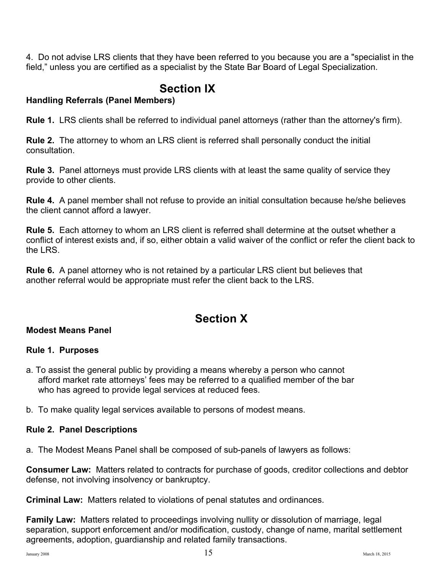4. Do not advise LRS clients that they have been referred to you because you are a "specialist in the field," unless you are certified as a specialist by the State Bar Board of Legal Specialization.

## **Section IX**

#### **Handling Referrals (Panel Members)**

**Rule 1.** LRS clients shall be referred to individual panel attorneys (rather than the attorney's firm).

**Rule 2.** The attorney to whom an LRS client is referred shall personally conduct the initial consultation.

**Rule 3.** Panel attorneys must provide LRS clients with at least the same quality of service they provide to other clients.

**Rule 4.** A panel member shall not refuse to provide an initial consultation because he/she believes the client cannot afford a lawyer.

**Rule 5.** Each attorney to whom an LRS client is referred shall determine at the outset whether a conflict of interest exists and, if so, either obtain a valid waiver of the conflict or refer the client back to the LRS.

**Rule 6.** A panel attorney who is not retained by a particular LRS client but believes that another referral would be appropriate must refer the client back to the LRS.

## **Section X**

#### **Modest Means Panel**

#### **Rule 1. Purposes**

a. To assist the general public by providing a means whereby a person who cannot afford market rate attorneys' fees may be referred to a qualified member of the bar who has agreed to provide legal services at reduced fees.

b. To make quality legal services available to persons of modest means.

#### **Rule 2. Panel Descriptions**

a. The Modest Means Panel shall be composed of sub-panels of lawyers as follows:

**Consumer Law:** Matters related to contracts for purchase of goods, creditor collections and debtor defense, not involving insolvency or bankruptcy.

**Criminal Law:** Matters related to violations of penal statutes and ordinances.

**Family Law:** Matters related to proceedings involving nullity or dissolution of marriage, legal separation, support enforcement and/or modification, custody, change of name, marital settlement agreements, adoption, guardianship and related family transactions.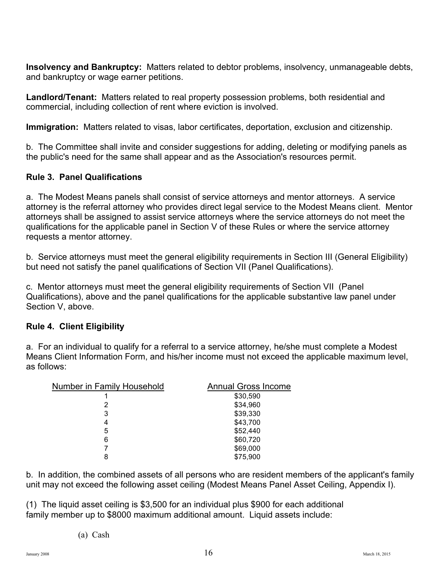**Insolvency and Bankruptcy:** Matters related to debtor problems, insolvency, unmanageable debts, and bankruptcy or wage earner petitions.

**Landlord/Tenant:** Matters related to real property possession problems, both residential and commercial, including collection of rent where eviction is involved.

**Immigration:** Matters related to visas, labor certificates, deportation, exclusion and citizenship.

b. The Committee shall invite and consider suggestions for adding, deleting or modifying panels as the public's need for the same shall appear and as the Association's resources permit.

#### **Rule 3. Panel Qualifications**

a. The Modest Means panels shall consist of service attorneys and mentor attorneys. A service attorney is the referral attorney who provides direct legal service to the Modest Means client. Mentor attorneys shall be assigned to assist service attorneys where the service attorneys do not meet the qualifications for the applicable panel in Section V of these Rules or where the service attorney requests a mentor attorney.

b. Service attorneys must meet the general eligibility requirements in Section III (General Eligibility) but need not satisfy the panel qualifications of Section VII (Panel Qualifications).

c. Mentor attorneys must meet the general eligibility requirements of Section VII (Panel Qualifications), above and the panel qualifications for the applicable substantive law panel under Section V, above.

#### **Rule 4. Client Eligibility**

a. For an individual to qualify for a referral to a service attorney, he/she must complete a Modest Means Client Information Form, and his/her income must not exceed the applicable maximum level, as follows:

| <b>Number in Family Household</b> | <b>Annual Gross Income</b> |
|-----------------------------------|----------------------------|
|                                   | \$30,590                   |
| 2                                 | \$34,960                   |
| 3                                 | \$39,330                   |
| 4                                 | \$43,700                   |
| 5                                 | \$52,440                   |
| 6                                 | \$60,720                   |
| 7                                 | \$69,000                   |
| 8                                 | \$75,900                   |

b. In addition, the combined assets of all persons who are resident members of the applicant's family unit may not exceed the following asset ceiling (Modest Means Panel Asset Ceiling, Appendix I).

(1) The liquid asset ceiling is \$3,500 for an individual plus \$900 for each additional family member up to \$8000 maximum additional amount. Liquid assets include: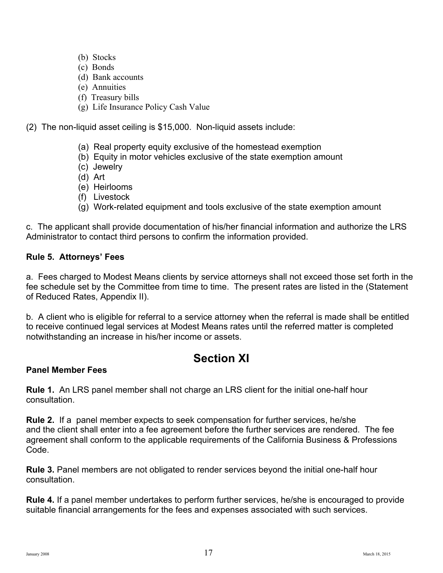- (b) Stocks
- (c) Bonds
- (d) Bank accounts
- (e) Annuities
- (f) Treasury bills
- (g) Life Insurance Policy Cash Value

(2) The non-liquid asset ceiling is \$15,000. Non-liquid assets include:

- (a) Real property equity exclusive of the homestead exemption
- (b) Equity in motor vehicles exclusive of the state exemption amount
- (c) Jewelry
- (d) Art
- (e) Heirlooms
- (f) Livestock
- (g) Work-related equipment and tools exclusive of the state exemption amount

c. The applicant shall provide documentation of his/her financial information and authorize the LRS Administrator to contact third persons to confirm the information provided.

#### **Rule 5. Attorneys' Fees**

a. Fees charged to Modest Means clients by service attorneys shall not exceed those set forth in the fee schedule set by the Committee from time to time. The present rates are listed in the (Statement of Reduced Rates, Appendix II).

b. A client who is eligible for referral to a service attorney when the referral is made shall be entitled to receive continued legal services at Modest Means rates until the referred matter is completed notwithstanding an increase in his/her income or assets.

## **Section XI**

#### **Panel Member Fees**

**Rule 1.** An LRS panel member shall not charge an LRS client for the initial one-half hour consultation.

**Rule 2.** If a panel member expects to seek compensation for further services, he/she and the client shall enter into a fee agreement before the further services are rendered. The fee agreement shall conform to the applicable requirements of the California Business & Professions Code.

**Rule 3.** Panel members are not obligated to render services beyond the initial one-half hour consultation.

**Rule 4.** If a panel member undertakes to perform further services, he/she is encouraged to provide suitable financial arrangements for the fees and expenses associated with such services.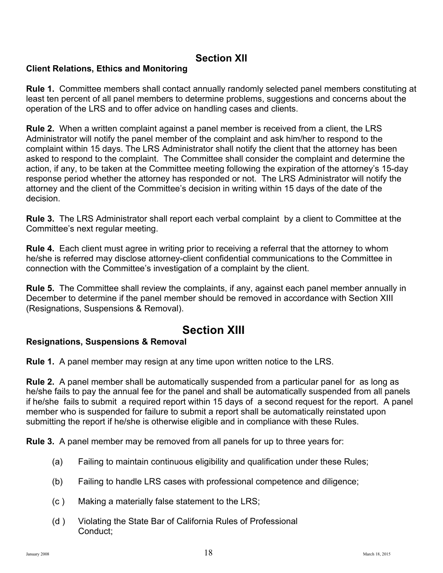#### **Section XII**

#### **Client Relations, Ethics and Monitoring**

**Rule 1.** Committee members shall contact annually randomly selected panel members constituting at least ten percent of all panel members to determine problems, suggestions and concerns about the operation of the LRS and to offer advice on handling cases and clients.

**Rule 2.** When a written complaint against a panel member is received from a client, the LRS Administrator will notify the panel member of the complaint and ask him/her to respond to the complaint within 15 days. The LRS Administrator shall notify the client that the attorney has been asked to respond to the complaint. The Committee shall consider the complaint and determine the action, if any, to be taken at the Committee meeting following the expiration of the attorney's 15-day response period whether the attorney has responded or not. The LRS Administrator will notify the attorney and the client of the Committee's decision in writing within 15 days of the date of the decision.

**Rule 3.** The LRS Administrator shall report each verbal complaint by a client to Committee at the Committee's next regular meeting.

**Rule 4.** Each client must agree in writing prior to receiving a referral that the attorney to whom he/she is referred may disclose attorney-client confidential communications to the Committee in connection with the Committee's investigation of a complaint by the client.

**Rule 5.** The Committee shall review the complaints, if any, against each panel member annually in December to determine if the panel member should be removed in accordance with Section XIII (Resignations, Suspensions & Removal).

## **Section XIII**

#### **Resignations, Suspensions & Removal**

**Rule 1.** A panel member may resign at any time upon written notice to the LRS.

**Rule 2.** A panel member shall be automatically suspended from a particular panel for as long as he/she fails to pay the annual fee for the panel and shall be automatically suspended from all panels if he/she fails to submit a required report within 15 days of a second request for the report. A panel member who is suspended for failure to submit a report shall be automatically reinstated upon submitting the report if he/she is otherwise eligible and in compliance with these Rules.

**Rule 3.** A panel member may be removed from all panels for up to three years for:

- (a) Failing to maintain continuous eligibility and qualification under these Rules;
- (b) Failing to handle LRS cases with professional competence and diligence;
- (c ) Making a materially false statement to the LRS;
- (d ) Violating the State Bar of California Rules of Professional Conduct;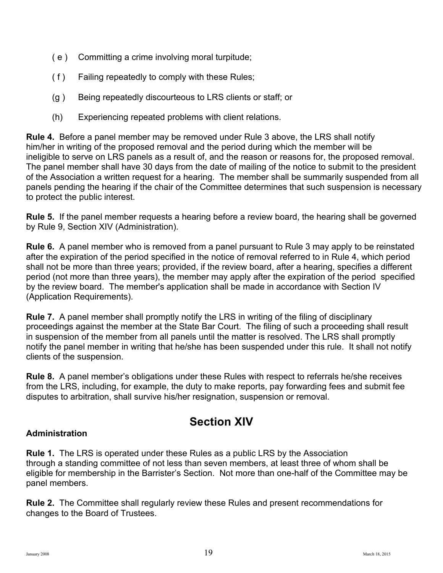- ( e ) Committing a crime involving moral turpitude;
- ( f ) Failing repeatedly to comply with these Rules;
- (g ) Being repeatedly discourteous to LRS clients or staff; or
- (h) Experiencing repeated problems with client relations.

**Rule 4.** Before a panel member may be removed under Rule 3 above, the LRS shall notify him/her in writing of the proposed removal and the period during which the member will be ineligible to serve on LRS panels as a result of, and the reason or reasons for, the proposed removal. The panel member shall have 30 days from the date of mailing of the notice to submit to the president of the Association a written request for a hearing. The member shall be summarily suspended from all panels pending the hearing if the chair of the Committee determines that such suspension is necessary to protect the public interest.

**Rule 5.** If the panel member requests a hearing before a review board, the hearing shall be governed by Rule 9, Section XIV (Administration).

**Rule 6.** A panel member who is removed from a panel pursuant to Rule 3 may apply to be reinstated after the expiration of the period specified in the notice of removal referred to in Rule 4, which period shall not be more than three years; provided, if the review board, after a hearing, specifies a different period (not more than three years), the member may apply after the expiration of the period specified by the review board. The member's application shall be made in accordance with Section IV (Application Requirements).

**Rule 7.** A panel member shall promptly notify the LRS in writing of the filing of disciplinary proceedings against the member at the State Bar Court. The filing of such a proceeding shall result in suspension of the member from all panels until the matter is resolved. The LRS shall promptly notify the panel member in writing that he/she has been suspended under this rule. It shall not notify clients of the suspension.

**Rule 8.** A panel member's obligations under these Rules with respect to referrals he/she receives from the LRS, including, for example, the duty to make reports, pay forwarding fees and submit fee disputes to arbitration, shall survive his/her resignation, suspension or removal.

## **Section XIV**

#### **Administration**

**Rule 1.** The LRS is operated under these Rules as a public LRS by the Association through a standing committee of not less than seven members, at least three of whom shall be eligible for membership in the Barrister's Section. Not more than one-half of the Committee may be panel members.

**Rule 2.** The Committee shall regularly review these Rules and present recommendations for changes to the Board of Trustees.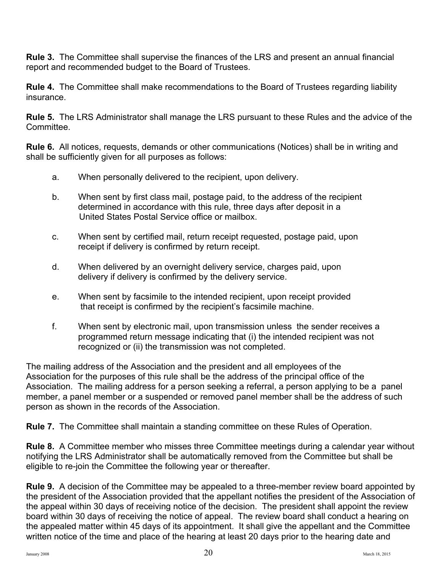**Rule 3.** The Committee shall supervise the finances of the LRS and present an annual financial report and recommended budget to the Board of Trustees.

**Rule 4.** The Committee shall make recommendations to the Board of Trustees regarding liability insurance.

**Rule 5.** The LRS Administrator shall manage the LRS pursuant to these Rules and the advice of the Committee.

**Rule 6.** All notices, requests, demands or other communications (Notices) shall be in writing and shall be sufficiently given for all purposes as follows:

- a. When personally delivered to the recipient, upon delivery.
- b. When sent by first class mail, postage paid, to the address of the recipient determined in accordance with this rule, three days after deposit in a United States Postal Service office or mailbox.
- c. When sent by certified mail, return receipt requested, postage paid, upon receipt if delivery is confirmed by return receipt.
- d. When delivered by an overnight delivery service, charges paid, upon delivery if delivery is confirmed by the delivery service.
- e. When sent by facsimile to the intended recipient, upon receipt provided that receipt is confirmed by the recipient's facsimile machine.
- f. When sent by electronic mail, upon transmission unless the sender receives a programmed return message indicating that (i) the intended recipient was not recognized or (ii) the transmission was not completed.

The mailing address of the Association and the president and all employees of the Association for the purposes of this rule shall be the address of the principal office of the Association. The mailing address for a person seeking a referral, a person applying to be a panel member, a panel member or a suspended or removed panel member shall be the address of such person as shown in the records of the Association.

**Rule 7.** The Committee shall maintain a standing committee on these Rules of Operation.

**Rule 8.** A Committee member who misses three Committee meetings during a calendar year without notifying the LRS Administrator shall be automatically removed from the Committee but shall be eligible to re-join the Committee the following year or thereafter.

**Rule 9.** A decision of the Committee may be appealed to a three-member review board appointed by the president of the Association provided that the appellant notifies the president of the Association of the appeal within 30 days of receiving notice of the decision. The president shall appoint the review board within 30 days of receiving the notice of appeal. The review board shall conduct a hearing on the appealed matter within 45 days of its appointment. It shall give the appellant and the Committee written notice of the time and place of the hearing at least 20 days prior to the hearing date and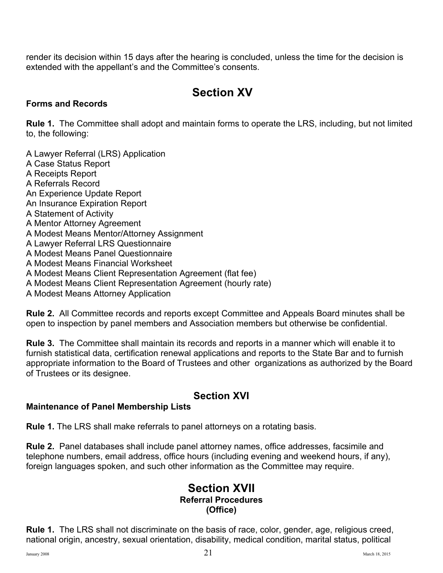render its decision within 15 days after the hearing is concluded, unless the time for the decision is extended with the appellant's and the Committee's consents.

## **Section XV**

#### **Forms and Records**

**Rule 1.** The Committee shall adopt and maintain forms to operate the LRS, including, but not limited to, the following:

A Lawyer Referral (LRS) Application A Case Status Report A Receipts Report A Referrals Record An Experience Update Report An Insurance Expiration Report A Statement of Activity A Mentor Attorney Agreement A Modest Means Mentor/Attorney Assignment A Lawyer Referral LRS Questionnaire A Modest Means Panel Questionnaire A Modest Means Financial Worksheet A Modest Means Client Representation Agreement (flat fee) A Modest Means Client Representation Agreement (hourly rate) A Modest Means Attorney Application

**Rule 2.** All Committee records and reports except Committee and Appeals Board minutes shall be open to inspection by panel members and Association members but otherwise be confidential.

**Rule 3.** The Committee shall maintain its records and reports in a manner which will enable it to furnish statistical data, certification renewal applications and reports to the State Bar and to furnish appropriate information to the Board of Trustees and other organizations as authorized by the Board of Trustees or its designee.

## **Section XVI**

#### **Maintenance of Panel Membership Lists**

**Rule 1.** The LRS shall make referrals to panel attorneys on a rotating basis.

**Rule 2.** Panel databases shall include panel attorney names, office addresses, facsimile and telephone numbers, email address, office hours (including evening and weekend hours, if any), foreign languages spoken, and such other information as the Committee may require.

#### **Section XVII Referral Procedures (Office)**

**Rule 1.** The LRS shall not discriminate on the basis of race, color, gender, age, religious creed, national origin, ancestry, sexual orientation, disability, medical condition, marital status, political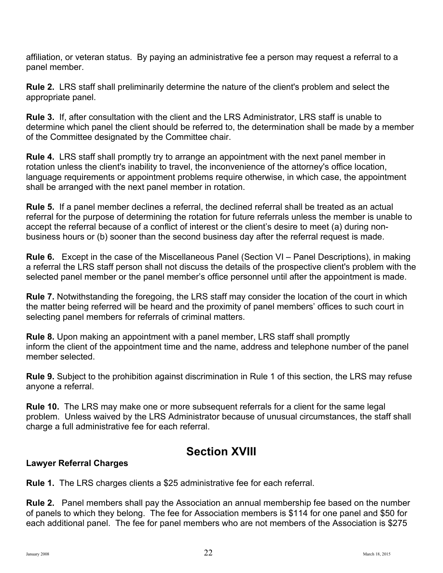affiliation, or veteran status. By paying an administrative fee a person may request a referral to a panel member.

**Rule 2.** LRS staff shall preliminarily determine the nature of the client's problem and select the appropriate panel.

**Rule 3.** If, after consultation with the client and the LRS Administrator, LRS staff is unable to determine which panel the client should be referred to, the determination shall be made by a member of the Committee designated by the Committee chair.

**Rule 4.** LRS staff shall promptly try to arrange an appointment with the next panel member in rotation unless the client's inability to travel, the inconvenience of the attorney's office location, language requirements or appointment problems require otherwise, in which case, the appointment shall be arranged with the next panel member in rotation.

**Rule 5.** If a panel member declines a referral, the declined referral shall be treated as an actual referral for the purpose of determining the rotation for future referrals unless the member is unable to accept the referral because of a conflict of interest or the client's desire to meet (a) during nonbusiness hours or (b) sooner than the second business day after the referral request is made.

**Rule 6.** Except in the case of the Miscellaneous Panel (Section VI – Panel Descriptions), in making a referral the LRS staff person shall not discuss the details of the prospective client's problem with the selected panel member or the panel member's office personnel until after the appointment is made.

**Rule 7.** Notwithstanding the foregoing, the LRS staff may consider the location of the court in which the matter being referred will be heard and the proximity of panel members' offices to such court in selecting panel members for referrals of criminal matters.

**Rule 8.** Upon making an appointment with a panel member, LRS staff shall promptly inform the client of the appointment time and the name, address and telephone number of the panel member selected.

**Rule 9.** Subject to the prohibition against discrimination in Rule 1 of this section, the LRS may refuse anyone a referral.

**Rule 10.** The LRS may make one or more subsequent referrals for a client for the same legal problem. Unless waived by the LRS Administrator because of unusual circumstances, the staff shall charge a full administrative fee for each referral.

## **Section XVIII**

#### **Lawyer Referral Charges**

**Rule 1.** The LRS charges clients a \$25 administrative fee for each referral.

**Rule 2.** Panel members shall pay the Association an annual membership fee based on the number of panels to which they belong. The fee for Association members is \$114 for one panel and \$50 for each additional panel. The fee for panel members who are not members of the Association is \$275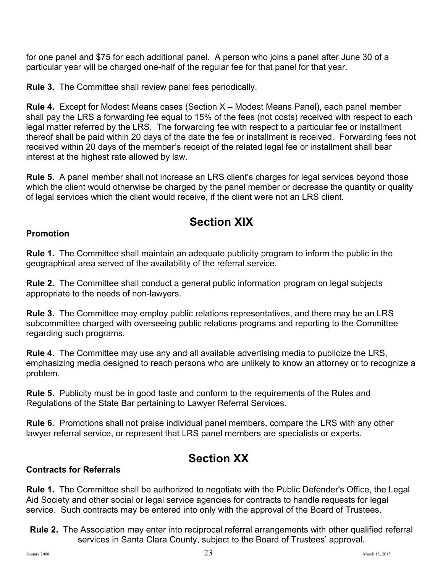for one panel and \$75 for each additional panel. A person who joins a panel after June 30 of a particular year will be charged one-half of the regular fee for that panel for that year.

**Rule 3.** The Committee shall review panel fees periodically.

**Rule 4.** Except for Modest Means cases (Section X – Modest Means Panel), each panel member shall pay the LRS a forwarding fee equal to 15% of the fees (not costs) received with respect to each legal matter referred by the LRS. The forwarding fee with respect to a particular fee or installment thereof shall be paid within 20 days of the date the fee or installment is received. Forwarding fees not received within 20 days of the member's receipt of the related legal fee or installment shall bear interest at the highest rate allowed by law.

**Rule 5.** A panel member shall not increase an LRS client's charges for legal services beyond those which the client would otherwise be charged by the panel member or decrease the quantity or quality of legal services which the client would receive, if the client were not an LRS client.

## **Section XIX**

#### **Promotion**

**Rule 1.** The Committee shall maintain an adequate publicity program to inform the public in the geographical area served of the availability of the referral service.

**Rule 2.** The Committee shall conduct a general public information program on legal subjects appropriate to the needs of non-lawyers.

**Rule 3.** The Committee may employ public relations representatives, and there may be an LRS subcommittee charged with overseeing public relations programs and reporting to the Committee regarding such programs.

**Rule 4.** The Committee may use any and all available advertising media to publicize the LRS, emphasizing media designed to reach persons who are unlikely to know an attorney or to recognize a problem.

**Rule 5.** Publicity must be in good taste and conform to the requirements of the Rules and Regulations of the State Bar pertaining to Lawyer Referral Services.

**Rule 6.** Promotions shall not praise individual panel members, compare the LRS with any other lawyer referral service, or represent that LRS panel members are specialists or experts.

## **Section XX**

#### **Contracts for Referrals**

**Rule 1.** The Committee shall be authorized to negotiate with the Public Defender's Office, the Legal Aid Society and other social or legal service agencies for contracts to handle requests for legal service. Such contracts may be entered into only with the approval of the Board of Trustees.

**Rule 2.** The Association may enter into reciprocal referral arrangements with other qualified referral services in Santa Clara County, subject to the Board of Trustees' approval.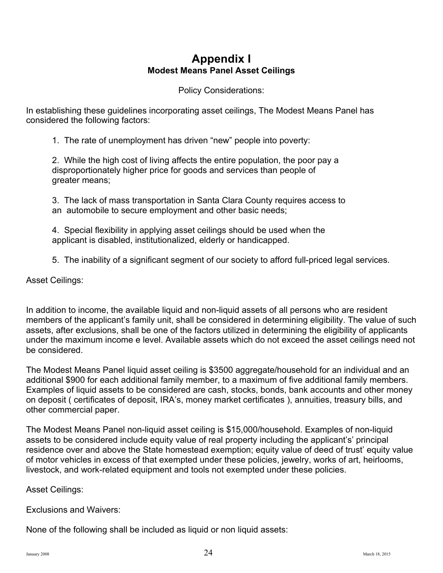### **Appendix I Modest Means Panel Asset Ceilings**

Policy Considerations:

In establishing these guidelines incorporating asset ceilings, The Modest Means Panel has considered the following factors:

1. The rate of unemployment has driven "new" people into poverty:

2. While the high cost of living affects the entire population, the poor pay a disproportionately higher price for goods and services than people of greater means;

3. The lack of mass transportation in Santa Clara County requires access to an automobile to secure employment and other basic needs;

4. Special flexibility in applying asset ceilings should be used when the applicant is disabled, institutionalized, elderly or handicapped.

5. The inability of a significant segment of our society to afford full-priced legal services.

Asset Ceilings:

In addition to income, the available liquid and non-liquid assets of all persons who are resident members of the applicant's family unit, shall be considered in determining eligibility. The value of such assets, after exclusions, shall be one of the factors utilized in determining the eligibility of applicants under the maximum income e level. Available assets which do not exceed the asset ceilings need not be considered.

The Modest Means Panel liquid asset ceiling is \$3500 aggregate/household for an individual and an additional \$900 for each additional family member, to a maximum of five additional family members. Examples of liquid assets to be considered are cash, stocks, bonds, bank accounts and other money on deposit ( certificates of deposit, IRA's, money market certificates ), annuities, treasury bills, and other commercial paper.

The Modest Means Panel non-liquid asset ceiling is \$15,000/household. Examples of non-liquid assets to be considered include equity value of real property including the applicant's' principal residence over and above the State homestead exemption; equity value of deed of trust' equity value of motor vehicles in excess of that exempted under these policies, jewelry, works of art, heirlooms, livestock, and work-related equipment and tools not exempted under these policies.

Asset Ceilings:

Exclusions and Waivers:

None of the following shall be included as liquid or non liquid assets: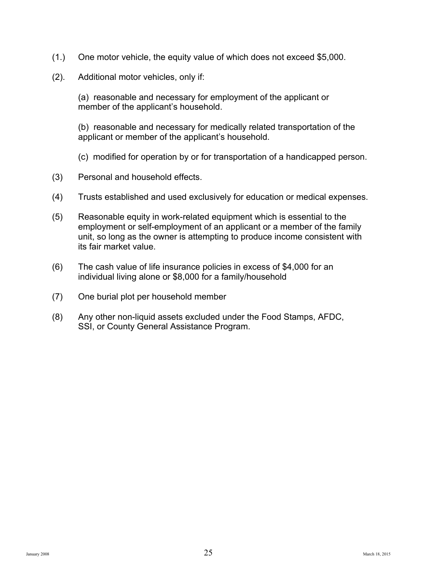- (1.) One motor vehicle, the equity value of which does not exceed \$5,000.
- (2). Additional motor vehicles, only if:

(a) reasonable and necessary for employment of the applicant or member of the applicant's household.

(b) reasonable and necessary for medically related transportation of the applicant or member of the applicant's household.

- (c) modified for operation by or for transportation of a handicapped person.
- (3) Personal and household effects.
- (4) Trusts established and used exclusively for education or medical expenses.
- (5) Reasonable equity in work-related equipment which is essential to the employment or self-employment of an applicant or a member of the family unit, so long as the owner is attempting to produce income consistent with its fair market value.
- (6) The cash value of life insurance policies in excess of \$4,000 for an individual living alone or \$8,000 for a family/household
- (7) One burial plot per household member
- (8) Any other non-liquid assets excluded under the Food Stamps, AFDC, SSI, or County General Assistance Program.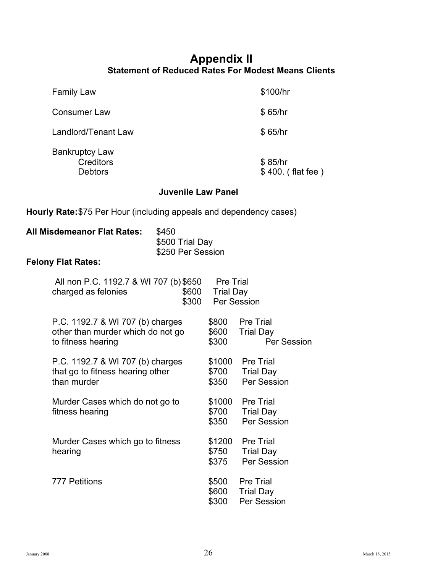#### **Appendix II Statement of Reduced Rates For Modest Means Clients**

Family Law  $$100/hr$ 

Consumer Law \$65/hr

Landlord/Tenant Law \$65/hr

Bankruptcy Law Creditors \$85/hr<br>Debtors \$400.

 $$400.$  (flat fee)

#### **Juvenile Law Panel**

**Hourly Rate:**\$75 Per Hour (including appeals and dependency cases)

| All Misdemeanor Flat Rates: | \$450             |
|-----------------------------|-------------------|
|                             | \$500 Trial Day   |
|                             | \$250 Per Session |

#### **Felony Flat Rates:**

| All non P.C. 1192.7 & WI 707 (b) \$650<br>\$600<br>charged as felonies<br>\$300             | <b>Pre Trial</b><br><b>Trial Day</b> | Per Session                                         |
|---------------------------------------------------------------------------------------------|--------------------------------------|-----------------------------------------------------|
| P.C. 1192.7 & WI 707 (b) charges<br>other than murder which do not go<br>to fitness hearing | \$800<br>\$600<br>\$300              | <b>Pre Trial</b><br><b>Trial Day</b><br>Per Session |
| P.C. 1192.7 & WI 707 (b) charges<br>that go to fitness hearing other<br>than murder         | \$1000<br>\$700<br>\$350             | <b>Pre Trial</b><br><b>Trial Day</b><br>Per Session |
| Murder Cases which do not go to<br>fitness hearing                                          | \$1000<br>\$700<br>\$350             | <b>Pre Trial</b><br><b>Trial Day</b><br>Per Session |
| Murder Cases which go to fitness<br>hearing                                                 | \$1200<br>\$750<br>\$375             | <b>Pre Trial</b><br><b>Trial Day</b><br>Per Session |
| <b>777 Petitions</b>                                                                        | \$500<br>\$600<br>\$300              | <b>Pre Trial</b><br><b>Trial Day</b><br>Per Session |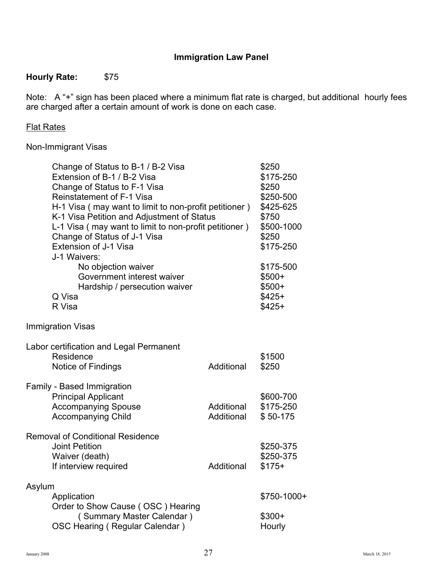#### **Immigration Law Panel**

#### **Hourly Rate:** \$75

Note: A "+" sign has been placed where a minimum flat rate is charged, but additional hourly fees are charged after a certain amount of work is done on each case.

#### Flat Rates

#### Non-Immigrant Visas

|        | Change of Status to B-1 / B-2 Visa<br>Extension of B-1 / B-2 Visa<br>Change of Status to F-1 Visa<br>Reinstatement of F-1 Visa<br>H-1 Visa (may want to limit to non-profit petitioner)<br>K-1 Visa Petition and Adjustment of Status<br>L-1 Visa (may want to limit to non-profit petitioner)<br>Change of Status of J-1 Visa<br>Extension of J-1 Visa<br>J-1 Waivers:<br>No objection waiver<br>Government interest waiver |                          | \$250<br>\$175-250<br>\$250<br>\$250-500<br>\$425-625<br>\$750<br>\$500-1000<br>\$250<br>\$175-250<br>\$175-500<br>$$500+$ |
|--------|------------------------------------------------------------------------------------------------------------------------------------------------------------------------------------------------------------------------------------------------------------------------------------------------------------------------------------------------------------------------------------------------------------------------------|--------------------------|----------------------------------------------------------------------------------------------------------------------------|
|        | Hardship / persecution waiver                                                                                                                                                                                                                                                                                                                                                                                                |                          | $$500+$                                                                                                                    |
|        | Q Visa                                                                                                                                                                                                                                                                                                                                                                                                                       |                          | $$425+$                                                                                                                    |
|        | R Visa                                                                                                                                                                                                                                                                                                                                                                                                                       |                          | $$425+$                                                                                                                    |
|        | <b>Immigration Visas</b>                                                                                                                                                                                                                                                                                                                                                                                                     |                          |                                                                                                                            |
|        | Labor certification and Legal Permanent                                                                                                                                                                                                                                                                                                                                                                                      |                          |                                                                                                                            |
|        | Residence                                                                                                                                                                                                                                                                                                                                                                                                                    |                          | \$1500                                                                                                                     |
|        | Notice of Findings                                                                                                                                                                                                                                                                                                                                                                                                           | Additional               | \$250                                                                                                                      |
|        | <b>Family - Based Immigration</b><br><b>Principal Applicant</b><br><b>Accompanying Spouse</b><br><b>Accompanying Child</b>                                                                                                                                                                                                                                                                                                   | Additional<br>Additional | \$600-700<br>\$175-250<br>\$50-175                                                                                         |
|        | <b>Removal of Conditional Residence</b><br><b>Joint Petition</b><br>Waiver (death)<br>If interview required                                                                                                                                                                                                                                                                                                                  | Additional               | \$250-375<br>\$250-375<br>$$175+$                                                                                          |
|        |                                                                                                                                                                                                                                                                                                                                                                                                                              |                          |                                                                                                                            |
| Asylum |                                                                                                                                                                                                                                                                                                                                                                                                                              |                          |                                                                                                                            |
|        | Application<br>Order to Show Cause (OSC) Hearing                                                                                                                                                                                                                                                                                                                                                                             |                          | \$750-1000+                                                                                                                |
|        | (Summary Master Calendar)                                                                                                                                                                                                                                                                                                                                                                                                    |                          | $$300+$                                                                                                                    |
|        | OSC Hearing (Regular Calendar)                                                                                                                                                                                                                                                                                                                                                                                               |                          | Hourly                                                                                                                     |
|        |                                                                                                                                                                                                                                                                                                                                                                                                                              |                          |                                                                                                                            |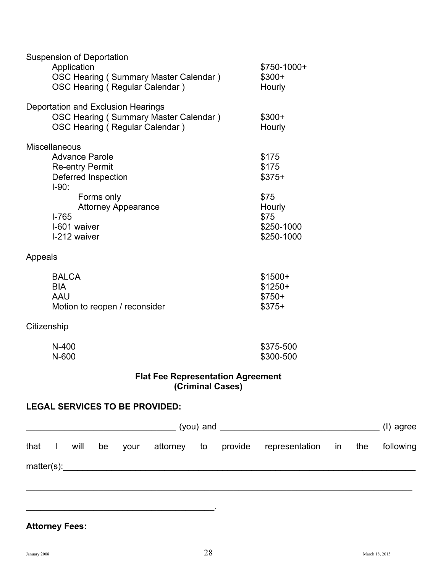| <b>Suspension of Deportation</b>                              |              |           |
|---------------------------------------------------------------|--------------|-----------|
| Application                                                   | $$750-1000+$ |           |
| <b>OSC Hearing (Summary Master Calendar)</b>                  | $$300+$      |           |
| OSC Hearing (Regular Calendar)                                | Hourly       |           |
| Deportation and Exclusion Hearings                            |              |           |
| <b>OSC Hearing (Summary Master Calendar)</b>                  | $$300+$      |           |
| OSC Hearing (Regular Calendar)                                | Hourly       |           |
| <b>Miscellaneous</b>                                          |              |           |
| <b>Advance Parole</b>                                         | \$175        |           |
| <b>Re-entry Permit</b>                                        | \$175        |           |
| Deferred Inspection                                           | $$375+$      |           |
| $I-90:$                                                       |              |           |
| Forms only                                                    | \$75         |           |
| <b>Attorney Appearance</b>                                    | Hourly       |           |
| $I - 765$                                                     | \$75         |           |
| I-601 waiver                                                  | \$250-1000   |           |
| I-212 waiver                                                  | \$250-1000   |           |
| Appeals                                                       |              |           |
| <b>BALCA</b>                                                  | $$1500+$     |           |
| <b>BIA</b>                                                    | $$1250+$     |           |
| <b>AAU</b>                                                    | $$750+$      |           |
| Motion to reopen / reconsider                                 | $$375+$      |           |
| Citizenship                                                   |              |           |
| N-400                                                         | \$375-500    |           |
| N-600                                                         | \$300-500    |           |
|                                                               |              |           |
| <b>Flat Fee Representation Agreement</b><br>(Criminal Cases)  |              |           |
| <b>LEGAL SERVICES TO BE PROVIDED:</b>                         |              |           |
|                                                               |              | (I) agree |
| that I will be your attorney to provide representation in the |              | following |
|                                                               |              |           |
|                                                               |              |           |
|                                                               |              |           |
|                                                               |              |           |
|                                                               |              |           |

## **Attorney Fees:**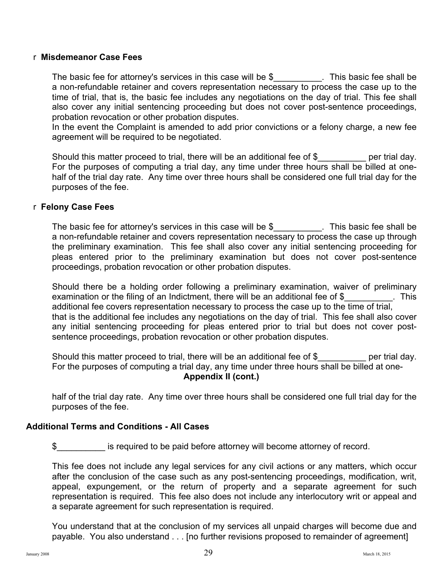#### r **Misdemeanor Case Fees**

The basic fee for attorney's services in this case will be  $$$  This basic fee shall be a non-refundable retainer and covers representation necessary to process the case up to the time of trial, that is, the basic fee includes any negotiations on the day of trial. This fee shall also cover any initial sentencing proceeding but does not cover post-sentence proceedings, probation revocation or other probation disputes.

In the event the Complaint is amended to add prior convictions or a felony charge, a new fee agreement will be required to be negotiated.

Should this matter proceed to trial, there will be an additional fee of \$ per trial day. For the purposes of computing a trial day, any time under three hours shall be billed at onehalf of the trial day rate. Any time over three hours shall be considered one full trial day for the purposes of the fee.

#### r **Felony Case Fees**

The basic fee for attorney's services in this case will be \$\_\_\_\_\_\_\_\_\_\_. This basic fee shall be a non-refundable retainer and covers representation necessary to process the case up through the preliminary examination. This fee shall also cover any initial sentencing proceeding for pleas entered prior to the preliminary examination but does not cover post-sentence proceedings, probation revocation or other probation disputes.

Should there be a holding order following a preliminary examination, waiver of preliminary examination or the filing of an Indictment, there will be an additional fee of \$ This additional fee covers representation necessary to process the case up to the time of trial, that is the additional fee includes any negotiations on the day of trial. This fee shall also cover any initial sentencing proceeding for pleas entered prior to trial but does not cover postsentence proceedings, probation revocation or other probation disputes.

Should this matter proceed to trial, there will be an additional fee of \$ per trial day. For the purposes of computing a trial day, any time under three hours shall be billed at one-**Appendix II (cont.)**

half of the trial day rate. Any time over three hours shall be considered one full trial day for the purposes of the fee.

#### **Additional Terms and Conditions - All Cases**

\$\_\_\_\_\_\_\_\_\_\_ is required to be paid before attorney will become attorney of record.

This fee does not include any legal services for any civil actions or any matters, which occur after the conclusion of the case such as any post-sentencing proceedings, modification, writ, appeal, expungement, or the return of property and a separate agreement for such representation is required. This fee also does not include any interlocutory writ or appeal and a separate agreement for such representation is required.

You understand that at the conclusion of my services all unpaid charges will become due and payable. You also understand . . . [no further revisions proposed to remainder of agreement]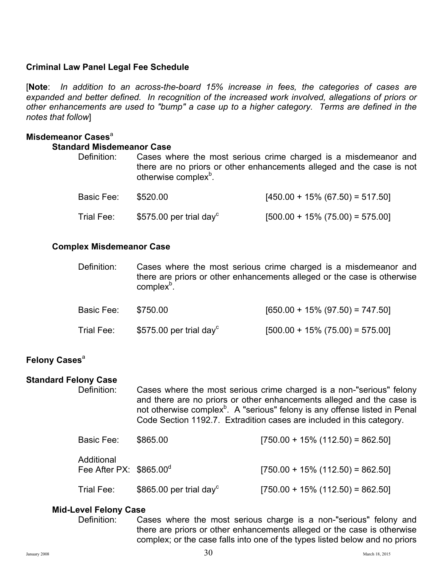#### **Criminal Law Panel Legal Fee Schedule**

[**Note**: *In addition to an across-the-board 15% increase in fees, the categories of cases are expanded and better defined. In recognition of the increased work involved, allegations of priors or other enhancements are used to "bump" a case up to a higher category. Terms are defined in the notes that follow*]

#### **Misdemeanor Cases**<sup>a</sup>

#### **Standard Misdemeanor Case**

| Definition: | Cases where the most serious crime charged is a misdemeanor and                                           |
|-------------|-----------------------------------------------------------------------------------------------------------|
|             | there are no priors or other enhancements alleged and the case is not<br>otherwise complex <sup>b</sup> . |

| Basic Fee: | \$520.00                            | $[450.00 + 15\% (67.50) = 517.50]$ |
|------------|-------------------------------------|------------------------------------|
| Trial Fee: | \$575.00 per trial day <sup>c</sup> | $[500.00 + 15\% (75.00) = 575.00]$ |

#### **Complex Misdemeanor Case**

| Definition: | Cases where the most serious crime charged is a misdemeanor and         |
|-------------|-------------------------------------------------------------------------|
|             | there are priors or other enhancements alleged or the case is otherwise |
|             | complex <sup>p</sup> .                                                  |

| Basic Fee: | \$750.00                            | $[650.00 + 15\% (97.50) = 747.50]$ |
|------------|-------------------------------------|------------------------------------|
| Trial Fee: | \$575.00 per trial day <sup>c</sup> | $[500.00 + 15\% (75.00) = 575.00]$ |

#### **Felony Cases**<sup>a</sup>

#### **Standard Felony Case**

Definition: Cases where the most serious crime charged is a non-"serious" felony and there are no priors or other enhancements alleged and the case is not otherwise complex $b$ . A "serious" felony is any offense listed in Penal Code Section 1192.7. Extradition cases are included in this category.

| Basic Fee:                             | \$865.00                            | $[750.00 + 15\% (112.50) = 862.50]$ |
|----------------------------------------|-------------------------------------|-------------------------------------|
| Additional<br>Fee After PX: $$865.00d$ |                                     | $[750.00 + 15\% (112.50) = 862.50]$ |
| Trial Fee:                             | \$865.00 per trial day <sup>c</sup> | $[750.00 + 15\% (112.50) = 862.50]$ |

#### **Mid-Level Felony Case**

Definition: Cases where the most serious charge is a non-"serious" felony and there are priors or other enhancements alleged or the case is otherwise complex; or the case falls into one of the types listed below and no priors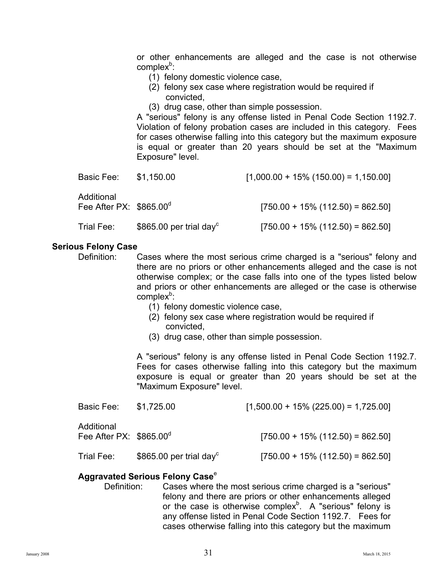or other enhancements are alleged and the case is not otherwise complex<sup>b</sup>:

- (1) felony domestic violence case,
- (2) felony sex case where registration would be required if convicted,
- (3) drug case, other than simple possession.

A "serious" felony is any offense listed in Penal Code Section 1192.7. Violation of felony probation cases are included in this category. Fees for cases otherwise falling into this category but the maximum exposure is equal or greater than 20 years should be set at the "Maximum Exposure" level.

| Basic Fee:                             | \$1,150.00                          | $[1,000.00 + 15\% (150.00) = 1,150.00]$ |
|----------------------------------------|-------------------------------------|-----------------------------------------|
| Additional<br>Fee After PX: $$865.00d$ |                                     | $[750.00 + 15\% (112.50) = 862.50]$     |
| Trial Fee:                             | \$865.00 per trial day <sup>c</sup> | $[750.00 + 15\% (112.50) = 862.50]$     |

#### **Serious Felony Case**

- Definition: Cases where the most serious crime charged is a "serious" felony and there are no priors or other enhancements alleged and the case is not otherwise complex; or the case falls into one of the types listed below and priors or other enhancements are alleged or the case is otherwise  $complex<sup>b</sup>$ :
	- (1) felony domestic violence case,
	- (2) felony sex case where registration would be required if convicted,
	- (3) drug case, other than simple possession.

A "serious" felony is any offense listed in Penal Code Section 1192.7. Fees for cases otherwise falling into this category but the maximum exposure is equal or greater than 20 years should be set at the "Maximum Exposure" level.

| Basic Fee:                                    | \$1,725.00                          | $[1,500.00 + 15\% (225.00) = 1,725.00]$ |
|-----------------------------------------------|-------------------------------------|-----------------------------------------|
| Additional<br>Fee After PX: $$865.00^{\circ}$ |                                     | $[750.00 + 15\% (112.50) = 862.50]$     |
| Trial Fee:                                    | \$865.00 per trial day <sup>c</sup> | $[750.00 + 15\% (112.50) = 862.50]$     |

#### **Aggravated Serious Felony Case**<sup>e</sup>

Definition: Cases where the most serious crime charged is a "serious" felony and there are priors or other enhancements alleged or the case is otherwise complex<sup>b</sup>. A "serious" felony is any offense listed in Penal Code Section 1192.7. Fees for cases otherwise falling into this category but the maximum